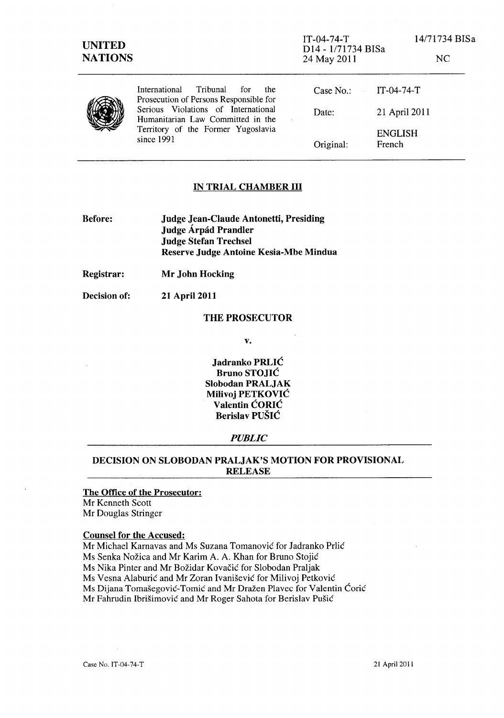**1974** 

**IT-04-74-T**<br> **IT-04-74-T**<br>
<u>D14-1/717</u> D14 - 1/71734 BISa 24 May 2011

|                                                                                | $121 - 111112 + 11104$<br>24 May 2011 | NC                       |
|--------------------------------------------------------------------------------|---------------------------------------|--------------------------|
| International Tribunal<br>for<br>the<br>Prosecution of Persons Responsible for | Case No.: $IT-04-74-T$                |                          |
| Serious Violations of International<br>Humanitarian Law Committed in the       | Date:                                 | 21 April 2011            |
| Territory of the Former Yugoslavia<br>since 1991                               | Original:                             | <b>ENGLISH</b><br>French |

## IN TRIAL CHAMBER III

Before: Judge Jean-Claude Antonetti, Presiding Judge Árpád Prandler Judge Stefan Trechsel Reserve Judge Antoine Kesia-Mbe Mindua

21 April 2011

Registrar: Mr John Hocking

Decision of:

#### THE PROSECUTOR

v.

Jadranko PRLIC Bruno STOJIC Slobodan PRALJAK Milivoj PETKOVIC Valentin CORIC Berislav PUSIC

#### *PUBLIC*

## DECISION ON SLOBODAN PRALJAK'S MOTION FOR PROVISIONAL RELEASE

### The Office of the Prosecutor: Mr Kenneth Scott Mr Douglas Stringer

#### Counsel for the Accused:

Mr Michael Karnavas and Ms Suzana Tomanović for Jadranko Prlić Ms Senka Nozica and Mr Karim A. A. Khan for Bruno Stojic Ms Nika Pinter and Mr Bozidar Kovacic for Slobodan Praljak Ms Vesna Alaburic and Mr Zoran IvaniSevic for Milivoj Petkovic Ms Dijana Tomašegović-Tomić and Mr Dražen Plavec for Valentin Ćorić Mr Fahrudin Ibrišimović and Mr Roger Sahota for Berislav Pušić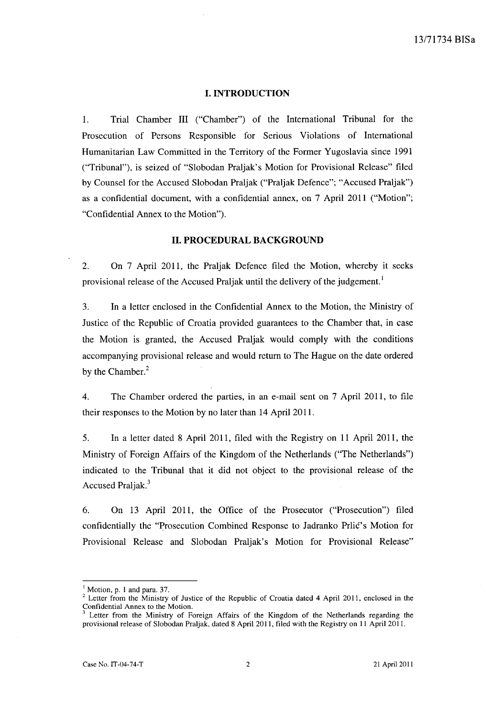## **I. INTRODUCTION**

1. Trial Chamber III ("Chamber") of the International Tribunal for the Prosecution of Persons Responsible for Serious Violations of International Humanitarian Law Committed in the Territory of the Former Yugoslavia since 1991 ("Tribunal"), is seized of "Slobodan Praljak's Motion for Provisional Release" filed by Counsel for the Accused Slobodan Praljak ("Praljak Defence"; "Accused Praljak") as a confidential document, with a confidential annex, on 7 April 2011 ("Motion"; "Confidential Annex to the Motion").

## **II. PROCEDURAL BACKGROUND**

2. On 7 April 2011, the Praljak Defence filed the Motion, whereby it seeks provisional release of the Accused Praljak until the delivery of the judgement.<sup>1</sup>

3. In a letter enclosed in the Confidential Annex to the Motion, the Ministry of Justice of the Republic of Croatia provided guarantees to the Chamber that, in case the Motion is granted, the Accused Praljak would comply with the conditions accompanying provisional release and would return to The Hague on the date ordered by the Chamber.<sup>2</sup>

4. The Chamber ordered the parties, in an e-mail sent on 7 April 2011, to file their responses to the Motion by no later than 14 April 2011.

5. In a letter dated 8 April 2011, filed with the Registry on 11 April 2011, the Ministry of Foreign Affairs of the Kingdom of the Netherlands ("The Netherlands") indicated to the Tribunal that it did not object to the provisional release of the Accused Praljak.<sup>3</sup>

6. On 13 April 2011, the Office of the Prosecutor ("Prosecution") filed confidentially the "Prosecution Combined Response to Jadranko Prlic's Motion for Provisional Release and Slobodan Praljak's Motion for Provisional Release"

<sup>&</sup>lt;sup>1</sup> Motion, p. 1 and para. 37.

 $2^{2}$  Letter from the Ministry of Justice of the Republic of Croatia dated 4 April 2011, enclosed in the Confidential Annex to the Motion.

Letter from the Ministry of Foreign Affairs of the Kingdom of the Netherlands regarding the provisional release of Siobodan Praljak, dated 8 April 2011, filed with the Registry on 11 April 2011.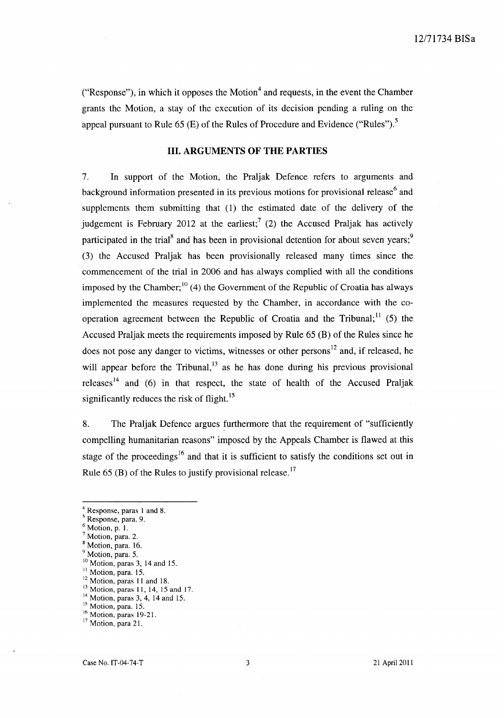("Response"), in which it opposes the Motion<sup>4</sup> and requests, in the event the Chamber grants the Motion, a stay of the execution of its decision pending a ruling on the appeal pursuant to Rule 65 (E) of the Rules of Procedure and Evidence ("Rules").<sup>5</sup>

## **III. ARGUMENTS OF THE PARTIES**

7. **In** support of the Motion, the Praljak Defence refers to arguments and background information presented in its previous motions for provisional release<sup>6</sup> and supplements them submitting that (1) the estimated date of the delivery of the judgement is February 2012 at the earliest;<sup>7</sup> (2) the Accused Praljak has actively participated in the trial<sup>8</sup> and has been in provisional detention for about seven years;<sup>9</sup> (3) the Accused Praljak has been provisionally released many times since the commencement of the trial in 2006 and has always complied with all the conditions imposed by the Chamber;  $^{10}$  (4) the Government of the Republic of Croatia has always implemented the measures requested by the Chamber, in accordance with the cooperation agreement between the Republic of Croatia and the Tribunal;<sup>11</sup> (5) the Accused Praljak meets the requirements imposed by Rule 65 (B) of the Rules since he does not pose any danger to victims, witnesses or other persons<sup>12</sup> and, if released, he will appear before the Tribunal, $^{13}$  as he has done during his previous provisional releases<sup>14</sup> and (6) in that respect, the state of health of the Accused Praljak significantly reduces the risk of flight.<sup>15</sup>

8. The Praljak Defence argues furthermore that the requirement of "sufficiently compelling humanitarian reasons" imposed by the Appeals Chamber is flawed at this stage of the proceedings<sup>16</sup> and that it is sufficient to satisfy the conditions set out in Rule  $65$  (B) of the Rules to justify provisional release.<sup>17</sup>

<sup>4</sup> Response, paras 1 and 8.

<sup>5</sup> Response, para. 9.

 $<sup>6</sup>$  Motion, p. 1.</sup>

 $<sup>7</sup>$  Motion, para. 2.</sup>

<sup>8</sup> Motion, para. 16.

<sup>&</sup>lt;sup>9</sup> Motion, para. 5.

 $10$  Motion, paras 3, 14 and 15. <sup>11</sup> Motion, para. 15.

<sup>&</sup>lt;sup>12</sup> Motion, paras 11 and 18.

<sup>&</sup>lt;sup>13</sup> Motion, paras 11, 14, 15 and 17.

<sup>&</sup>lt;sup>14</sup> Motion, paras 3, 4, 14 and 15.

<sup>&</sup>lt;sup>15</sup> Motion, para. 15.

<sup>&</sup>lt;sup>16</sup> Motion, paras 19-21.

<sup>&</sup>lt;sup>17</sup> Motion, para 21.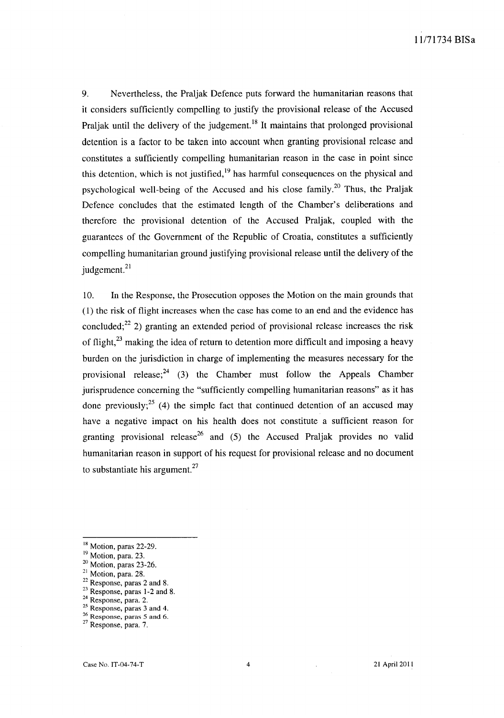9. Nevertheless, the Praljak Defence puts forward the humanitarian reasons that it considers sufficiently compelling to justify the provisional release of the Accused Praljak until the delivery of the judgement.<sup>18</sup> It maintains that prolonged provisional detention is a factor to be taken into account when granting provisional release and constitutes a sufficiently compelling humanitarian reason in the case in point since this detention, which is not justified, $19$  has harmful consequences on the physical and psychological well-being of the Accused and his close family.<sup>20</sup> Thus, the Praljak Defence concludes that the estimated length of the Chamber's deliberations and therefore the provisional detention of the Accused Praljak, coupled with the guarantees of the Government of the Republic of Croatia, constitutes a sufficiently compelling humanitarian ground justifying provisional release until the delivery of the judgement.<sup>21</sup>

10. In the Response, the Prosecution opposes the Motion on the main grounds that (1) the risk of flight increases when the case has come to an end and the evidence has concluded;<sup>22</sup> 2) granting an extended period of provisional release increases the risk of flight,<sup>23</sup> making the idea of return to detention more difficult and imposing a heavy burden on the jurisdiction in charge of implementing the measures necessary for the provisional release; $^{24}$  (3) the Chamber must follow the Appeals Chamber jurisprudence concerning the "sufficiently compelling humanitarian reasons" as it has done previously;<sup>25</sup> (4) the simple fact that continued detention of an accused may have a negative impact on his health does not constitute a sufficient reason for granting provisional release<sup>26</sup> and (5) the Accused Praljak provides no valid humanitarian reason in support of his request for provisional release and no document to substantiate his argument. $27$ 

<sup>25</sup> Response, paras 3 and 4.  $26$  Response, paras 5 and 6.

<sup>18</sup> Motion, paras 22-29.

<sup>&</sup>lt;sup>19</sup> Motion, para. 23.

 $20$  Motion, paras 23-26.

<sup>&</sup>lt;sup>21</sup> Motion, para. 28.

 $22$  Response, paras 2 and 8.

<sup>23</sup> Response, paras 1-2 and 8.

<sup>&</sup>lt;sup>24</sup> Response, para. 2.

<sup>27</sup> Response, para. 7.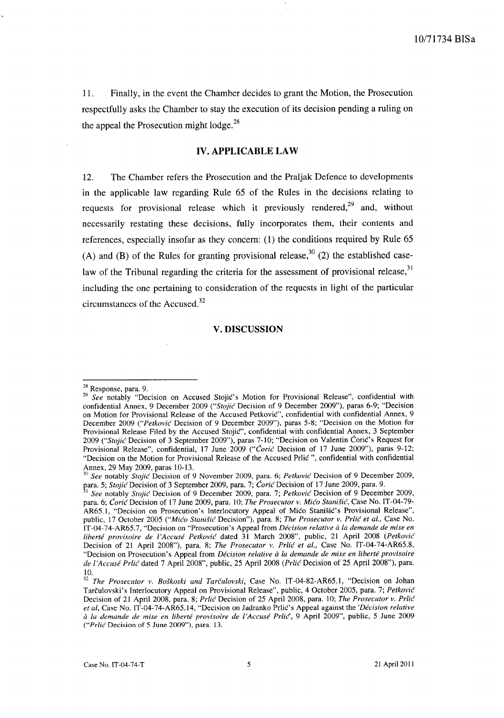1l. Finally, in the event the Chamber decides to grant the Motion, the Prosecution respectfully asks the Chamber to stay the execution of its decision pending a ruling on the appeal the Prosecution might  $\log e^{28}$ 

### **IV. APPLICABLE LAW**

12. The Chamber refers the Prosecution and the Praljak Defence to developments in the applicable law regarding Rule 65 of the Rules in the decisions relating to requests for provisional release which it previously rendered,<sup>29</sup> and, without necessarily restating these decisions, fully incorporates them, their contents and references, especially insofar as they concern: (1) the conditions required by Rule 65 (A) and (B) of the Rules for granting provisional release,  $30^{30}$  (2) the established caselaw of the Tribunal regarding the criteria for the assessment of provisional release,  $31$ including the one pertaining to consideration of the requests in light of the particular circumstances of the Accused.<sup>32</sup>

#### **V. DISCUSSION**

<sup>28</sup> Response, para. 9.

*<sup>29</sup> See* notably "Decision on Accused Stojic's Motion for Provisional Release", confidential with confidential Annex, 9 December 2009 *("Stojic* Decision of 9 December 2009"), paras 6-9; "Decision on Motion for Provisional Release of the Accused Petković", confidential with confidential Annex, 9 December 2009 *("Petkovic* Decision of 9 December 2009"), paras 5-S; "Decision on the Motion for Provisional Release Filed by the Accused Stojic", confidential with confidential Annex, 3 September *2009 ("Stojic* Decision of 3 September 2009"), paras 7-10; "Decision on Valentin Coric's Request for Provisional Release", confidential, 17 June 2009 *("Coric* Decision of 17 June 2009"), paras 9-12; "Decision on the Motion for Provisional Release of the Accused Prlic ", confidential with confidential Annex, 29 May 2009, paras 10-13.

<sup>30</sup>*See* notably *Stojic* Decision of 9 November 2009, para. 6; *Petkovic* Decision of 9 December 2009, para. 5; *Stojić* Decision of 3 September 2009, para. 7; *Coric* Decision of 17 June 2009, para. 9.

<sup>• 1</sup> *See* notably *Stojic* Decision of 9 December 2009, para. 7; *Petkovic* Decision of 9 December 2009, para. 6; *Coric* Decision of 17 June 2009, para. 10; *The Prosecutor v. Mico Stanisic,* Case No. IT -04-79- AR65.1, "Decision on Prosecution's Interlocutory Appeal of Mico Stanišic's Provisional Release", public, 17 October 2005 *("Mico Stanisic* Decision"), para. S; *The Prosecutor v. Prlic et al.,* Case No. IT -04-74-AR65. 7, "Decision on "Prosecution's Appeal from *Decision relative a la demande de mise en liberte provisoire de l'Accuse Petkovic* dated 31 March 200S", public, 21 April 200S *(Petkovic*  Decision of 21 April 200S"), para. S; *The Prosecutor v. Prlic et aI.,* Case No. IT-04-74-AR65.S, "Decision on Prosecution's Appeal from *Décision relative à la demande de mise en liberté provisoire de i'Accuse Prlic* dated 7 April 200S", public, 25 April 200S *(Prlic* Decision of 25 April 200S"), para. 10.

<sup>32</sup>*The Prosecutor v. Boskoski and Tarcuiovski,* Case No. IT-04-S2-AR65.1, "Decision on Johan Tarculovski's Interlocutory Appeal on Provisional Release", public, 4 October 2005, para. 7; *Petkovic*  Decision of 21 April 200S, para. S; *Prlic* Decision of 25 April 200S, para. 10; *The Prosecutor v. Prlic et ai,* Case No. IT -04-74-AR65.14, "Decision on Jadranko PrliC's Appeal against the *'Decision relative*  a *la demande de mise en Liberte provisoire de l'Accuse Prlic",* 9 April 2009", public, 5 June 2009 *("Prlic'* Decision of 5 June 2009"), para. 13.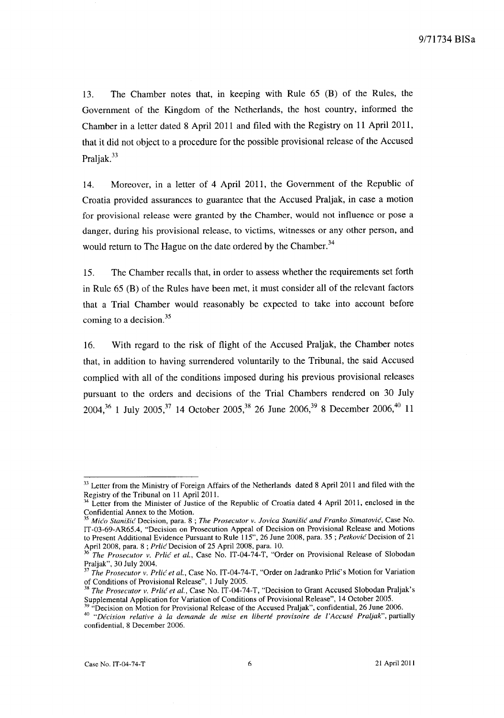13. The Chamber notes that, in keeping with Rule 65 (B) of the Rules, the Government of the Kingdom of the Netherlands, the host country, informed the Chamber in a letter dated 8 April 2011 and filed with the Registry on 11 April 2011, that it did not object to a procedure for the possible provisional release of the Accused Praljak.<sup>33</sup>

14. Moreover, in a letter of 4 April 2011, the Government of the Republic of Croatia provided assurances to guarantee that the Accused Praljak, in case a motion for provisional release were granted by the Chamber, would not influence or pose a danger, during his provisional release, to victims, witnesses or any other person, and would return to The Hague on the date ordered by the Chamber.<sup>34</sup>

15. The Chamber recalls that, in order to assess whether the requirements set forth in Rule 65 (B) of the Rules have been met, it must consider all of the relevant factors that a Trial Chamber would reasonably be expected to take into account before coming to a decision. <sup>35</sup>

16. With regard to the risk of flight of the Accused Praljak, the Chamber notes that, in addition to having surrendered voluntarily to the Tribunal, the said Accused complied with all of the conditions imposed during his previous provisional releases pursuant to the orders and decisions of the Trial Chambers rendered on 30 July 2004,<sup>36</sup> 1 July 2005,<sup>37</sup> 14 October 2005,<sup>38</sup> 26 June 2006,<sup>39</sup> 8 December 2006,<sup>40</sup> 11

<sup>&</sup>lt;sup>33</sup> Letter from the Ministry of Foreign Affairs of the Netherlands dated 8 April 2011 and filed with the Registry of the Tribunal on 11 April 2011.

Letter from the Minister of Justice of the Republic of Croatia dated 4 April 2011, enclosed in the Confidential Annex to the Motion.

*<sup>35</sup> Mico Stanish!* Decision, para. 8 ; *The Prosecutor v. iovica Stanisic and Franko Simatovic,* Case No. IT-03-69-AR65.4, "Decision on Prosecution Appeal of Decision on Provisional Release and Motions to Present Additional Evidence Pursuant to Rule 115",26 June 2008, para. 35 ; *Petkovic* Decision of 21 April 2008, para. 8; *Prlic* Decision of 25 April 2008, para. 10.

<sup>36</sup>*The Prosecutor v. Prlic et al.,* Case No. IT-04-74-T, "Order on Provisional Release of Siobodan Praljak", 30 July 2004.

*<sup>37</sup> The Prosecutor v. Prlić et al., Case No. IT -04-74-T, "Order on Jadranko Prlić's Motion for Variation* of Conditions of Provisional Release", I July 2005.

*<sup>38</sup> The Prosecutor v. Prlic et at.,* Case No. IT-04-74-T, "Decision to Grant Accused Siobodan Praljak's Supplemental Application for Variation of Conditions of Provisional Release", 14 October 2005.

Decision on Motion for Provisional Release of the Accused Praljak", confidential, 26 June 2006.

*<sup>40 &</sup>quot;Decision relative a la demande de mise en Liberte provisoire de l'Accuse Praljak",* partially confidential, 8 December 2006.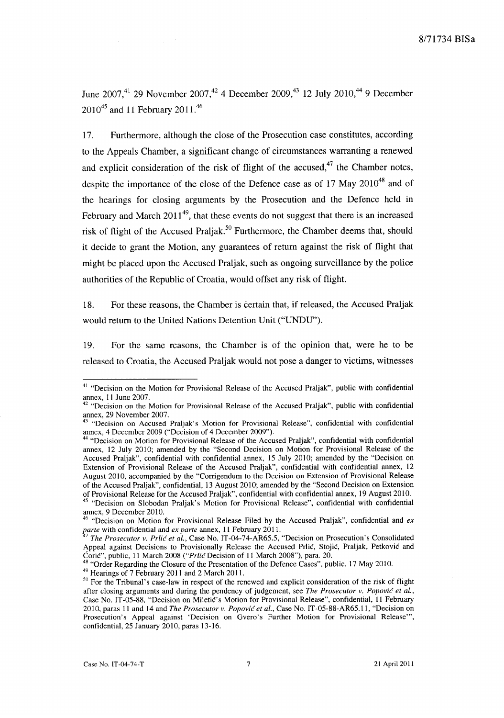June 2007,<sup>41</sup> 29 November 2007,<sup>42</sup> 4 December 2009,<sup>43</sup> 12 July 2010,<sup>44</sup> 9 December 201045 and **11** February 2011.<sup>46</sup>

17. Furthermore, although the close of the Prosecution case constitutes, according to the Appeals Chamber, a significant change of circumstances warranting a renewed and explicit consideration of the risk of flight of the accused, $47$  the Chamber notes, despite the importance of the close of the Defence case as of 17 May  $2010^{48}$  and of the hearings for closing arguments by the Prosecution and the Defence held in February and March  $2011^{49}$ , that these events do not suggest that there is an increased risk of flight of the Accused Praljak.<sup>50</sup> Furthermore, the Chamber deems that, should it decide to grant the Motion, any guarantees of return against the risk of flight that might be placed upon the Accused Praljak, such as ongoing surveillance by the police authorities of the Republic of Croatia, would offset any risk of flight.

18. For these reasons, the Chamber is certain that, if released, the Accused Praljak would return to the United Nations Detention Unit ("UNDU").

19. For the same reasons, the Chamber is of the opinion that, were he to be released to Croatia, the Accused Praljak would not pose a danger to victims, witnesses

<sup>&</sup>lt;sup>41</sup> "Decision on the Motion for Provisional Release of the Accused Praljak", public with confidential annex, 11 June 2007.

<sup>&</sup>lt;sup>42</sup> "Decision on the Motion for Provisional Release of the Accused Praljak", public with confidential annex, 29 November 2007.

<sup>&</sup>lt;sup>3</sup> "Decision on Accused Praljak's Motion for Provisional Release", confidential with confidential annex, 4 December 2009 ("Decision of 4 December 2009").

<sup>44 &</sup>quot;Decision on Motion for Provisional Release of the Accused Praljak", confidential with confidential annex, 12 July 2010; amended by the "Second Decision on Motion for Provisional Release of the Accused Praljak", confidential with confidential annex, 15 July 2010; amended by the "Decision on Extension of Provisional Release of the Accused Praljak", confidential with confidential annex, 12 August 2010, accompanied by the "Corrigendum to the Decision on Extension of Provisional Release of the Accused Praljak", confidential, 13 August 2010; amended by the "Second Decision on Extension of Provisional Release for the Accused Praljak", confidential with confidential annex, 19 August 2010.

<sup>&</sup>lt;sup>45</sup> "Decision on Slobodan Praljak's Motion for Provisional Release", confidential with confidential annex, 9 December 2010.

 $46$  "Decision on Motion for Provisional Release Filed by the Accused Praljak", confidential and  $ex$ *parte* with confidential and *ex parte* annex, 11 February 2011.

<sup>&</sup>lt;sup>7</sup> The Prosecutor v. Prlic et al., Case No. IT-04-74-AR65.5, "Decision on Prosecution's Consolidated Appeal against Decisions to Provisionally Release the Accused Prlić, Stojić, Praljak, Petković and Corie", public, II March 2008 *("Prlic* Decision of II March 2008"), para. 20.

<sup>&</sup>lt;sup>48</sup> "Order Regarding the Closure of the Presentation of the Defence Cases", public, 17 May 2010.

<sup>&</sup>lt;sup>49</sup> Hearings of 7 February 2011 and 2 March 2011.

<sup>&</sup>lt;sup>50</sup> For the Tribunal's case-law in respect of the renewed and explicit consideration of the risk of flight after closing arguments and during the pendency of judgement, see *The Prosecutor v. Popović et al.*, Case No. IT-05-88, "Decision on Miletie's Motion for Provisional Release", confidential, 11 February 2010, paras II and 14 and *The Prosecutor v. Popovic et al.,* Case No. IT-05-88-AR65.11, "Decision on Prosecution's Appeal against 'Decision on Gvero's Further Motion for Provisional Release"', confidential, 25 January 2010, paras 13-16.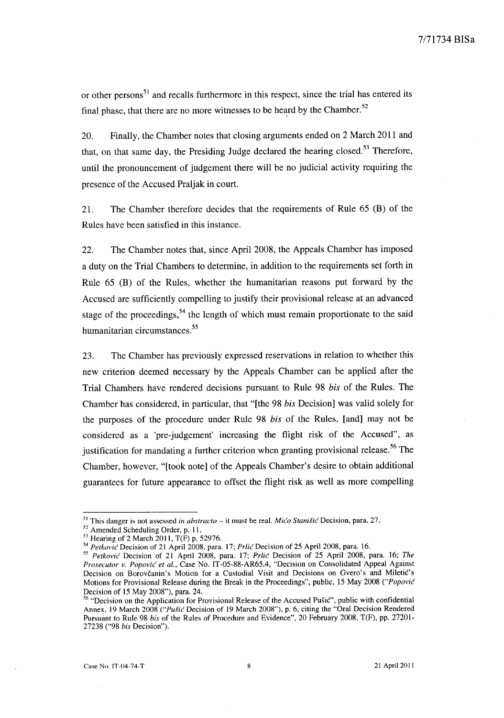or other persons<sup>51</sup> and recalls furthermore in this respect, since the trial has entered its final phase, that there are no more witnesses to be heard by the Chamber. $52$ 

20. Finally, the Chamber notes that closing arguments ended on 2 March 2011 and that, on that same day, the Presiding Judge declared the hearing closed.<sup>53</sup> Therefore, until the pronouncement of judgement there will be no judicial activity requiring the presence of the Accused Praljak in court.

21. The Chamber therefore decides that the requirements of Rule 65 (B) of the Rules have been satisfied in this instance.

22. The Chamber notes that, since April 2008, the Appeals Chamber has imposed a duty on the Trial Chambers to determine, in addition to the requirements set forth in Rule 65 (B) of the Rules, whether the humanitarian reasons put forward by the Accused are sufficiently compelling to justify their provisional release at an advanced stage of the proceedings,  $54$  the length of which must remain proportionate to the said humanitarian circumstances.<sup>55</sup>

23. The Chamber has previously expressed reservations in relation to whether this new criterion deemed necessary by the Appeals Chamber can be applied after the Trial Chambers have rendered decisions pursuant to Rule 98 *his* of the Rules. The Chamber has considered, in particular, that "[the 98 *his* Decision] was valid solely for the purposes of the procedure under Rule 98 *his* of the Rules, [and] may not be considered as a 'pre-judgement' increasing the flight risk of the Accused", as justification for mandating a further criterion when granting provisional release.<sup>56</sup> The Chamber, however, "[took note] of the Appeals Chamber's desire to obtain additional guarantees for future appearance to offset the flight risk as well as more compelling

<sup>&</sup>lt;sup>51</sup> This danger is not assessed *in abstracto* – it must be real. *Mićo Stanišić* Decision, para. 27.

<sup>52</sup> Amended Scheduling Order, p. 11.

 $53$  Hearing of 2 March 2011, T(F) p. 52976.

<sup>&</sup>lt;sup>54</sup> Petković Decision of 21 April 2008, para. 17; *Prlić Decision of 25 April 2008*, para. 16.

*<sup>55</sup> Petkovic* Decision of 21 April 2008, para. 17; *Prlic* Decision of 25 April 2008, para. 16; *The Prosecutor v. Popovic et aI.,* Case No. IT -05-88-AR65.4, "Decision on Consolidated Appeal Against Decision on Borovčanin's Motion for a Custodial Visit and Decisions on Gvero's and Miletic's Motions for Provisional Release during the Break in the Proceedings", public, 15 May 2008 *("Popovic*  Decision of 15 May 2008"), para. 24.

<sup>56 &</sup>quot;Decision on the Application for Provisional Release of the Accused Pusic", public with confidential Annex, 19 March 2008 *("Pu§ic* Decision of 19 March 2008"), p. 6, citing the "Oral Decision Rendered Pursuant to Rule 98 *bis* of the Rules of Procedure and Evidence", 20 February 2008, T(F), pp. 27201- 27238 ("98 *bis* Decision").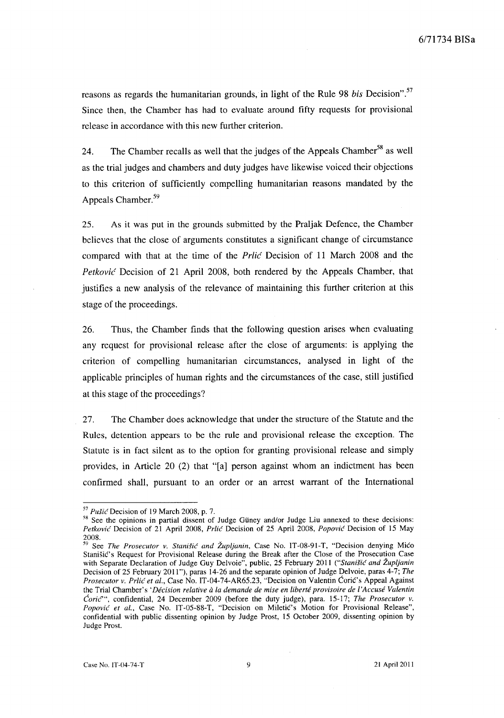reasons as regards the humanitarian grounds, in light of the Rule 98 *bis* Decision".57 Since then, the Chamber has had to evaluate around fifty requests for provisional release in accordance with this new further criterion.

24. The Chamber recalls as well that the judges of the Appeals Chamber<sup>58</sup> as well as the trial judges and chambers and duty judges have likewise voiced their objections to this criterion of sufficiently compelling humanitarian reasons mandated by the Appeals Chamber.<sup>59</sup>

25. As it was put in the grounds submitted by the Praljak Defence, the Chamber believes that the close of arguments constitutes a significant change of circumstance compared with that at the time of the *Prlic* Decision of 11 March 2008 and the *Petkovic* Decision of 21 April 2008, both rendered by the Appeals Chamber, that justifies a new analysis of the relevance of maintaining this further criterion at this stage of the proceedings.

26. Thus, the Chamber finds that the following question arises when evaluating any request for provisional release after the close of arguments: is applying the criterion of compelling humanitarian circumstances, analysed in light of the applicable principles of human rights and the circumstances of the case, still justified at this stage of the proceedings?

27. The Chamber does acknowledge that under the structure of the Statute and the Rules, detention appears to be the rule and provisional release the exception. The Statute is in fact silent as to the option for granting provisional release and simply provides, in Article 20 (2) that "[a] person against whom an indictment has been confirmed shall, pursuant to an order or an arrest warrant of the International

<sup>57</sup>*Pusic* Decision of 19 March 2008, p. 7.

<sup>&</sup>lt;sup>58</sup> See the opinions in partial dissent of Judge Güney and/or Judge Liu annexed to these decisions: *Petkovi('* Decision of 21 April 2008, *Prlic* Decision of 25 April 2008, *Popovic* Decision of 15 May  $^{2008.}_{59}$ 

<sup>59</sup> See *The Prosecutor v. Stanisic and Zupljanin,* Case No. IT-08-91-T, "Decision denying Mico Stanišić's Request for Provisional Release during the Break after the Close of the Prosecution Case with Separate Declaration of Judge Guy Delvoie", public, 25 February 2011 *("Stanisic and Zupljanin*  Decision of 25 February 2011 "), paras 14-26 and the separate opinion of Judge Delvoie, paras 4-7; *The Prosecutor v. Prlic et al.,* Case No. IT-04-74-AR65.23, "Decision on Valentin Corie's Appeal Against the Trial Chamber's *'Decision relative a la demande de mise en Liberte provisoire de ['Accuse Valentin*  Coric~", confidential, 24 December 2009 (before the duty judge), para. 15-17; *The Prosecutor v. Popović et al., Case No. IT-05-88-T, "Decision on Miletić's Motion for Provisional Release"*, confidential with public dissenting opinion by Judge Prost, 15 October 2009, dissenting opinion by Judge Prost.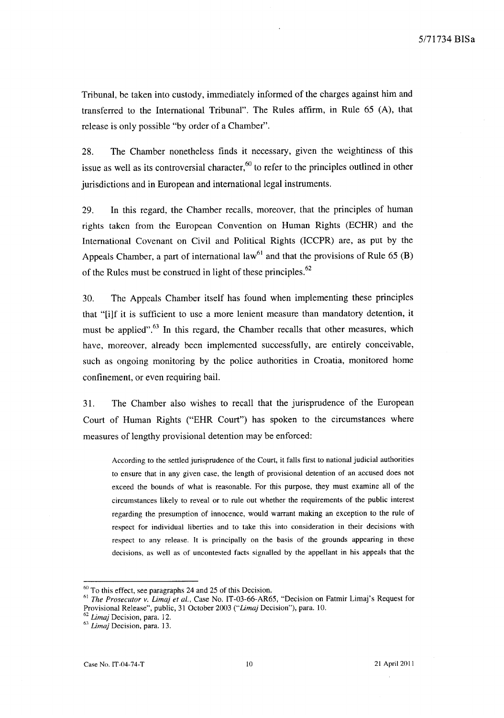Tribunal, be taken into custody, immediately informed of the charges against him and transferred to the International Tribunal". The Rules affirm, in Rule 65 (A), that release is only possible "by order of a Chamber".

28. The Chamber nonetheless finds it necessary, given the weightiness of this issue as well as its controversial character,  $60$  to refer to the principles outlined in other jurisdictions and in European and international legal instruments.

29. In this regard, the Chamber recalls, moreover, that the principles of human rights taken from the European Convention on Human Rights (ECHR) and the International Covenant on Civil and Political Rights (ICCPR) are, as put by the Appeals Chamber, a part of international law<sup>61</sup> and that the provisions of Rule 65 (B) of the Rules must be construed in light of these principles.<sup>62</sup>

30. The Appeals Chamber itself has found when implementing these principles that "[iJf it is sufficient to use a more lenient measure than mandatory detention, it must be applied".<sup>63</sup> In this regard, the Chamber recalls that other measures, which have, moreover, already been implemented successfully, are entirely conceivable, such as ongoing monitoring by the police authorities in Croatia, monitored home confinement, or even requiring bail.

31. The Chamber also wishes to recall that the jurisprudence of the European Court of Human Rights ("EHR Court") has spoken to the circumstances where measures of lengthy provisional detention may be enforced:

According to the settled jurisprudence of the Court, it falls first to national judicial authorities to ensure that in any given case, the length of provisional detention of an accused does not exceed the bounds of what is reasonable. For this purpose, they must examine all of the circumstances likely to reveal or to rule out whether the requirements of the public interest regarding the presumption of innocence, would warrant making an exception to the rule of respect for individual liberties and to take this into consideration in their decisions with respect to any release. It is principally on the basis of the grounds appearing in these decisions, as well as of uncontested facts signalled by the appellant in his appeals that the

 $60$  To this effect, see paragraphs 24 and 25 of this Decision.

<sup>61</sup>*The Prosecutor v. Limaj et al.,* Case No. IT-03-66-AR65, "Decision on Fatmir Limaj's Request for Provisional Release", public, 31 October 2003 (" *Limaj* Decision"), para. 10.

*<sup>62</sup> Limaj* Decision, para. 12.

*<sup>63</sup> Lima}* Decision, para. 13.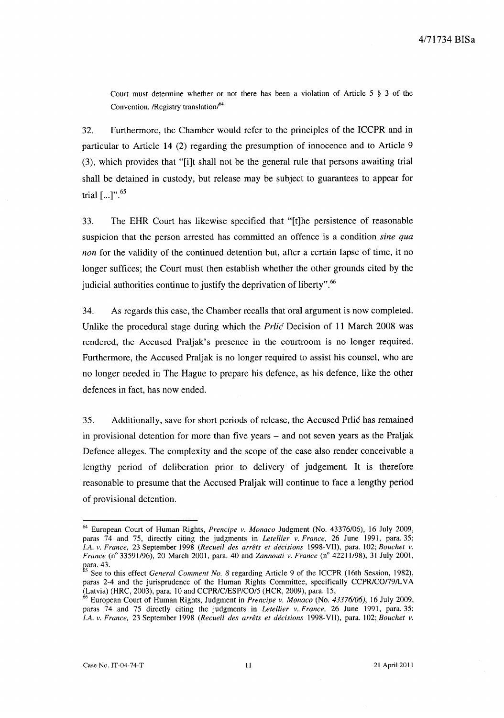Court must determine whether or not there has been a violation of Article 5 § 3 of the Convention. /Registry translation $/64$ 

32. Furthermore, the Chamber would refer to the principles of the ICCPR and in particular to Article 14 (2) regarding the presumption of innocence and to Article 9 (3), which provides that "[i]t shall not be the general rule that persons awaiting trial shall be detained in custody, but release may be subject to guarantees to appear for trial  $[...]$ ".<sup>65</sup>

33. The EHR Court has likewise specified that "[t]he persistence of reasonable suspicion that the person arrested has committed an offence is a condition *sine qua non* for the validity of the continued detention but, after a certain lapse of time, it no longer suffices; the Court must then establish whether the other grounds cited by the judicial authorities continue to justify the deprivation of liberty".<sup>66</sup>

34. As regards this case, the Chamber recalls that oral argument is now completed. Unlike the procedural stage during which the  $Prlic$  Decision of 11 March 2008 was rendered, the Accused Praljak's presence in the courtroom is no longer required. Furthermore, the Accused Praljak is no longer required to assist his counsel, who are no longer needed in The Hague to prepare his defence, as his defence, like the other defences in fact, has now ended.

35. Additionally, save for short periods of release, the Accused Prlic has remained in provisional detention for more than five years – and not seven years as the Praljak Defence alleges. The complexity and the scope of the case also render conceivable a lengthy period of deliberation prior to delivery of judgement. **It** is therefore reasonable to presume that the Accused Praljak will continue to face a lengthy period of provisional detention.

<sup>64</sup> European Court of Human Rights, *Prencipe v. Monaco* Judgment (No. *43376/06),* 16 July 2009, paras 74 and 75, directly citing the judgments in *Letellier v. France.* 26 June 1991, para. 35; *I.A. v. France.* 23 September 1998 *(Recueil des arrets et decisions* 1998-VII), para. 102; *Bouchet v. France* (n° 33591/96), 20 March 2001, para. 40 and *Zannouti v. France* (n° 42211/98), 31 July 2001, para. 43.

See to this effect *General Comment No. 8* regarding Article 9 of the ICCPR (16th Session, 1982), paras 2-4 and the jurisprudence of the Human Rights Committee, specifically *CCPR/C0179/L* V A (Latvia) (HRC, 2003), para. 10 and *CCPR/ClESP/CO/5* (HCR, 2009), para. 15,

<sup>66</sup> European Court of Human Rights, Judgment in *Prencipe v. Monaco* (No. 43376/06), 16 July 2009, paras 74 and 75 directly citing the judgments in *Letellier v. France,* 26 June 1991, para. 35; *I.A. v. France,* 23 September 1998 *(Recueil des arrets et decisions* 1998-VII), para. 102; *Bouchet v.*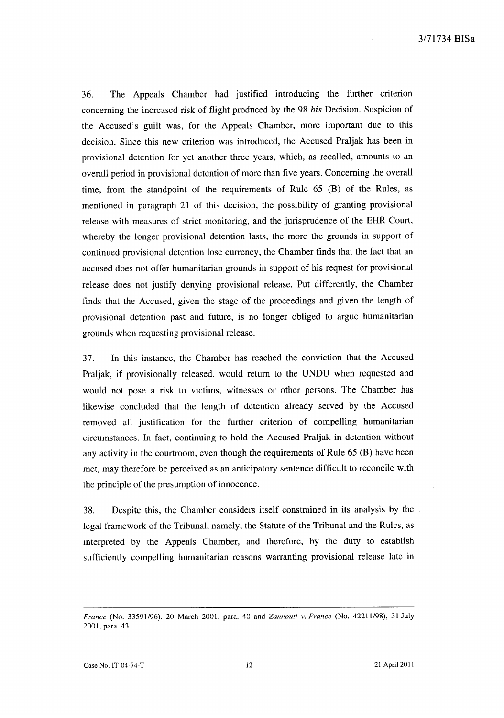36. The Appeals Chamber had justified introducing the further criterion concerning the increased risk of flight produced by the 98 *his* Decision. Suspicion of the Accused's guilt was, for the Appeals Chamber, more important due to this decision. Since this new criterion was introduced, the Accused Praljak has been in provisional detention for yet another three years, which, as recalled, amounts to an overall period in provisional detention of more than five years. Concerning the overall time, from the standpoint of the requirements of Rule 65 (B) of the Rules, as mentioned in paragraph 21 of this decision, the possibility of granting provisional release with measures of strict monitoring, and the jurisprudence of the ERR Court, whereby the longer provisional detention lasts, the more the grounds in support of continued provisional detention lose currency, the Chamber finds that the fact that an accused does not offer humanitarian grounds in support of his request for provisional release does not justify denying provisional release. Put differently, the Chamber finds that the Accused, given the stage of the proceedings and given the length of provisional detention past and future, is no longer obliged to argue humanitarian grounds when requesting provisional release.

37. In this instance, the Chamber has reached the conviction that the Accused Praljak, if provisionally released, would return to the UNDU when requested and would not pose a risk to victims, witnesses or other persons. The Chamber has likewise concluded that the length of detention already served by the Accused removed all justification for the further criterion of compelling humanitarian circumstances. In fact, continuing to hold the Accused Praljak in detention without any activity in the courtroom, even though the requirements of Rule 65 (B) have been met, may therefore be perceived as an anticipatory sentence difficult to reconcile with the principle of the presumption of innocence.

38. Despite this, the Chamber considers itself constrained in its analysis by the legal framework of the Tribunal, namely, the Statute of the Tribunal and the Rules, as interpreted by the Appeals Chamber, and therefore, by the duty to establish sufficiently compelling humanitarian reasons warranting provisional release late in

*France* (No. *33591/96),* 20 March 2001, para. 40 and *Zannouti v. France* (No. 42211/98), 31 July 2001, para. 43.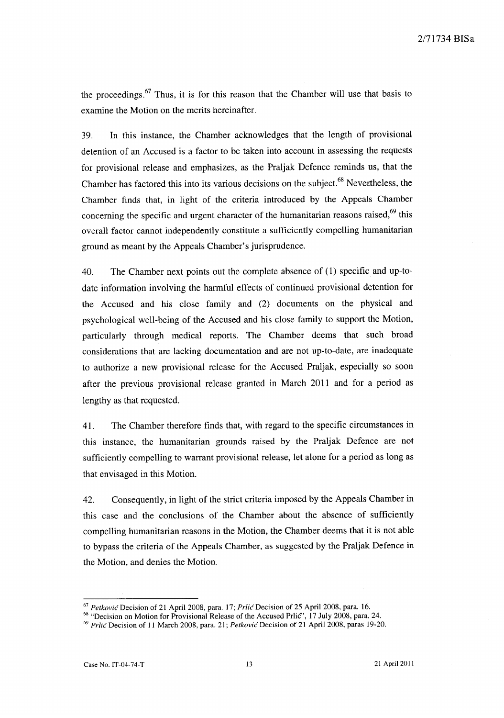the proceedings.<sup>67</sup> Thus, it is for this reason that the Chamber will use that basis to examine the Motion on the merits hereinafter.

39. In this instance, the Chamber acknowledges that the length of provisional detention of an Accused is a factor to be taken into account in assessing the requests for provisional release and emphasizes, as the Praljak Defence reminds us, that the Chamber has factored this into its various decisions on the subject.<sup>68</sup> Nevertheless, the Chamber finds that, in light of the criteria introduced by the Appeals Chamber concerning the specific and urgent character of the humanitarian reasons raised,<sup>69</sup> this overall factor cannot independently constitute a sufficiently compelling humanitarian ground as meant by the Appeals Chamber's jurisprudence.

40. The Chamber next points out the complete absence of (1) specific and up-todate information involving the harmful effects of continued provisional detention for the Accused and his close family and (2) documents on the physical and psychological well-being of the Accused and his close family to support the Motion, particularly through medical reports. The Chamber deems that such broad considerations that are lacking documentation and are not up-to-date, are inadequate to authorize a new provisional release for the Accused Praljak, especially so soon after the previous provisional release granted in March 2011 and for a period as lengthy as that requested.

41. The Chamber therefore finds that, with regard to the specific circumstances in this instance, the humanitarian grounds raised by the Praljak Defence are not sufficiently compelling to warrant provisional release, let alone for a period as long as that envisaged in this Motion.

42. Consequently, in light of the strict criteria imposed by the Appeals Chamber in this case and the conclusions of the Chamber about the absence of sufficiently compelling humanitarian reasons in the Motion, the Chamber deems that it is not able to bypass the criteria of the Appeals Chamber, as suggested by the Praljak Defence in the Motion, and denies the Motion.

*<sup>67</sup> Petkovic* Decision of 21 April 2008, para. 17; *Prlic* Decision of 25 April 2008, para. 16.

<sup>&</sup>lt;sup>68</sup> "Decision on Motion for Provisional Release of the Accused Prlic", 17 July 2008, para. 24.

*<sup>69</sup> Prlic* Decision of 11 March 2008, para. 21; *Petkovic* Decision of 21 April 2008, paras 19-20.